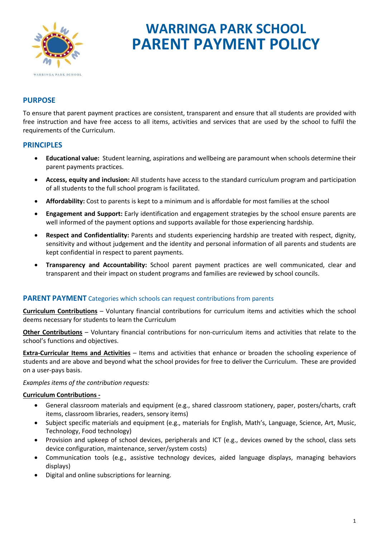

# **WARRINGA PARK SCHOOL PARENT PAYMENT POLICY**

# **PURPOSE**

To ensure that parent payment practices are consistent, transparent and ensure that all students are provided with free instruction and have free access to all items, activities and services that are used by the school to fulfil the requirements of the Curriculum.

#### **PRINCIPLES**

- **Educational value:** Student learning, aspirations and wellbeing are paramount when schools determine their parent payments practices.
- **Access, equity and inclusion:** All students have access to the standard curriculum program and participation of all students to the full school program is facilitated.
- **Affordability:** Cost to parents is kept to a minimum and is affordable for most families at the school
- **Engagement and Support:** Early identification and engagement strategies by the school ensure parents are well informed of the payment options and supports available for those experiencing hardship.
- **Respect and Confidentiality:** Parents and students experiencing hardship are treated with respect, dignity, sensitivity and without judgement and the identity and personal information of all parents and students are kept confidential in respect to parent payments.
- **Transparency and Accountability:** School parent payment practices are well communicated, clear and transparent and their impact on student programs and families are reviewed by school councils.

#### **PARENT PAYMENT** Categories which schools can request contributions from parents

**Curriculum Contributions** – Voluntary financial contributions for curriculum items and activities which the school deems necessary for students to learn the Curriculum

**Other Contributions** – Voluntary financial contributions for non-curriculum items and activities that relate to the school's functions and objectives.

**Extra-Curricular Items and Activities** – Items and activities that enhance or broaden the schooling experience of students and are above and beyond what the school provides for free to deliver the Curriculum. These are provided on a user-pays basis.

*Examples items of the contribution requests:*

#### **Curriculum Contributions -**

- General classroom materials and equipment (e.g., shared classroom stationery, paper, posters/charts, craft items, classroom libraries, readers, sensory items)
- Subject specific materials and equipment (e.g., materials for English, Math's, Language, Science, Art, Music, Technology, Food technology)
- Provision and upkeep of school devices, peripherals and ICT (e.g., devices owned by the school, class sets device configuration, maintenance, server/system costs)
- Communication tools (e.g., assistive technology devices, aided language displays, managing behaviors displays)
- Digital and online subscriptions for learning.